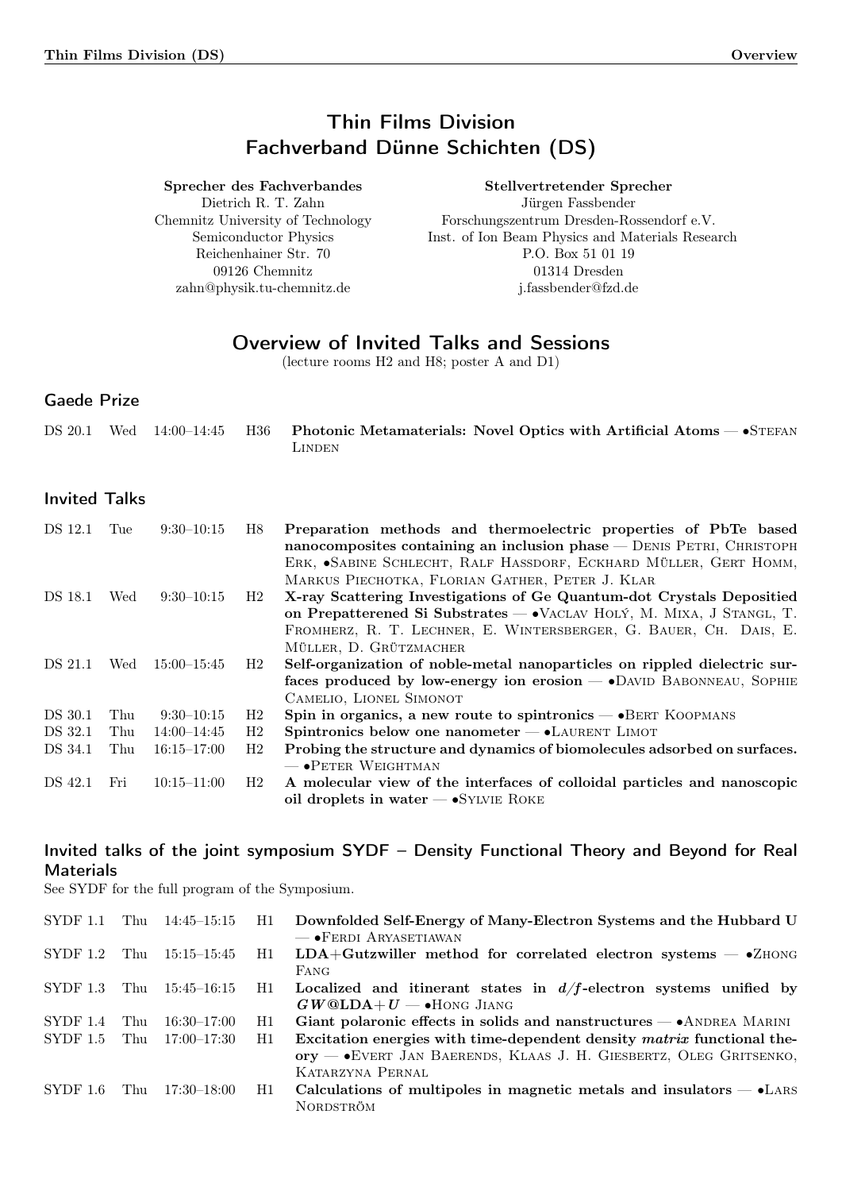## Thin Films Division Fachverband Dünne Schichten (DS)

#### <span id="page-0-0"></span>Sprecher des Fachverbandes

Dietrich R. T. Zahn Chemnitz University of Technology Semiconductor Physics Reichenhainer Str. 70 09126 Chemnitz zahn@physik.tu-chemnitz.de

#### Stellvertretender Sprecher

Jürgen Fassbender Forschungszentrum Dresden-Rossendorf e.V. Inst. of Ion Beam Physics and Materials Research P.O. Box 51 01 19 01314 Dresden j.fassbender@fzd.de

## Overview of Invited Talks and Sessions

(lecture rooms H2 and H8; poster A and D1)

#### Gaede Prize

|  |  | DS 20.1 Wed 14:00-14:45 H36 Photonic Metamaterials: Novel Optics with Artificial Atoms - STEFAN |
|--|--|-------------------------------------------------------------------------------------------------|
|  |  | LINDEN                                                                                          |

#### Invited Talks

| DS 12.1 | Tue | $9:30-10:15$    | H8       | Preparation methods and thermoelectric properties of PbTe based<br>nanocomposites containing an inclusion phase — DENIS PETRI, CHRISTOPH<br>ERK, •SABINE SCHLECHT, RALF HASSDORF, ECKHARD MÜLLER, GERT HOMM,<br>MARKUS PIECHOTKA, FLORIAN GATHER, PETER J. KLAR |
|---------|-----|-----------------|----------|-----------------------------------------------------------------------------------------------------------------------------------------------------------------------------------------------------------------------------------------------------------------|
| DS 18.1 | Wed | $9:30-10:15$    | $\rm H2$ | X-ray Scattering Investigations of Ge Quantum-dot Crystals Depositied                                                                                                                                                                                           |
|         |     |                 |          | on Prepatterened Si Substrates — VACLAV HOLÝ, M. MIXA, J STANGL, T.                                                                                                                                                                                             |
|         |     |                 |          | FROMHERZ, R. T. LECHNER, E. WINTERSBERGER, G. BAUER, CH. DAIS, E.                                                                                                                                                                                               |
|         |     |                 |          | MÜLLER, D. GRÜTZMACHER                                                                                                                                                                                                                                          |
| DS 21.1 | Wed | $15:00 - 15:45$ | H2       | Self-organization of noble-metal nanoparticles on rippled dielectric sur-                                                                                                                                                                                       |
|         |     |                 |          | faces produced by low-energy ion erosion - • DAVID BABONNEAU, SOPHIE                                                                                                                                                                                            |
|         |     |                 |          | CAMELIO, LIONEL SIMONOT                                                                                                                                                                                                                                         |
| DS 30.1 | Thu | $9:30-10:15$    | H2       | Spin in organics, a new route to spintronics $-\bullet$ BERT KOOPMANS                                                                                                                                                                                           |
| DS 32.1 | Thu | $14:00-14:45$   | H2       | Spintronics below one nanometer $-$ •LAURENT LIMOT                                                                                                                                                                                                              |
| DS 34.1 | Thu | $16:15 - 17:00$ | H2       | Probing the structure and dynamics of biomolecules adsorbed on surfaces.                                                                                                                                                                                        |
|         |     |                 |          | $ \bullet$ PETER WEIGHTMAN                                                                                                                                                                                                                                      |
| DS 42.1 | Fri | $10:15 - 11:00$ | H2       | A molecular view of the interfaces of colloidal particles and nanoscopic                                                                                                                                                                                        |
|         |     |                 |          | oil droplets in water $ \bullet$ SYLVIE ROKE                                                                                                                                                                                                                    |

#### Invited talks of the joint symposium SYDF – Density Functional Theory and Beyond for Real **Materials**

See SYDF for the full program of the Symposium.

| SYDF 1.1        | Thu | 14:45–15:15     | H1 | Downfolded Self-Energy of Many-Electron Systems and the Hubbard U                              |
|-----------------|-----|-----------------|----|------------------------------------------------------------------------------------------------|
|                 |     |                 |    | $-$ • FERDI ARYASETIAWAN                                                                       |
| SYDF 1.2        |     | Thu 15:15–15:45 | H1 | $LDA+Gutzwiller$ method for correlated electron systems $-$ •ZHONG                             |
|                 |     |                 |    | FANG                                                                                           |
| <b>SYDF 1.3</b> | Thu | $15:45 - 16:15$ | H1 | Localized and itinerant states in $d/f$ -electron systems unified by                           |
|                 |     |                 |    | $GW@LDA+U \longrightarrow$ Hong Jiang                                                          |
| SYDF 1.4        | Thu | $16:30 - 17:00$ | H1 | Giant polaronic effects in solids and nanstructures $- \bullet$ ANDREA MARINI                  |
| SYDF 1.5        | Thu |                 | H1 | Excitation energies with time-dependent density matrix functional the-                         |
|                 |     |                 |    | $\text{ory}$ $\text{---}$ $\bullet$ EVERT JAN BAERENDS, KLAAS J. H. GIESBERTZ, OLEG GRITSENKO, |
|                 |     |                 |    | KATARZYNA PERNAL                                                                               |
| SYDF 1.6        | Thu | 17:30–18:00     | H1 | Calculations of multipoles in magnetic metals and insulators $-$ •LARS                         |
|                 |     |                 |    | NORDSTRÖM                                                                                      |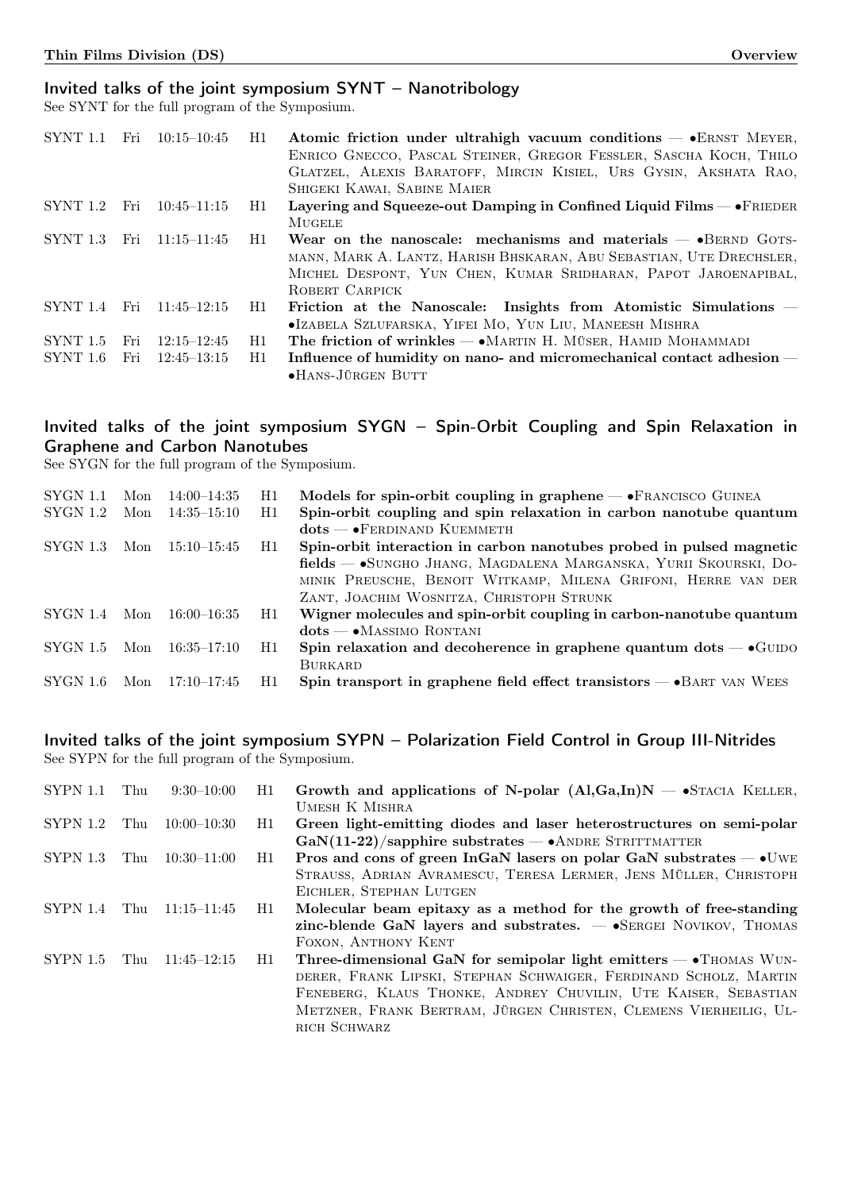#### Invited talks of the joint symposium SYNT – Nanotribology

See SYNT for the full program of the Symposium.

| <b>SYNT 1.1</b> | Fri | $10:15 - 10:45$ | H1. | Atomic friction under ultrahigh vacuum conditions $-$ •ERNST MEYER,             |
|-----------------|-----|-----------------|-----|---------------------------------------------------------------------------------|
|                 |     |                 |     | ENRICO GNECCO, PASCAL STEINER, GREGOR FESSLER, SASCHA KOCH, THILO               |
|                 |     |                 |     | GLATZEL, ALEXIS BARATOFF, MIRCIN KISIEL, URS GYSIN, AKSHATA RAO,                |
|                 |     |                 |     | SHIGEKI KAWAI, SABINE MAIER                                                     |
| SYNT 1.2        | Fri | $10:45 - 11:15$ | H1. | Layering and Squeeze-out Damping in Confined Liquid Films $\rightarrow$ FRIEDER |
|                 |     |                 |     | <b>MUGELE</b>                                                                   |
| <b>SYNT 1.3</b> | Fri | $11:15-11:45$   | H1. | Wear on the nanoscale: mechanisms and materials $-$ • $BERND$ GOTS-             |
|                 |     |                 |     | MANN, MARK A. LANTZ, HARISH BHSKARAN, ABU SEBASTIAN, UTE DRECHSLER,             |
|                 |     |                 |     | MICHEL DESPONT, YUN CHEN, KUMAR SRIDHARAN, PAPOT JAROENAPIBAL,                  |
|                 |     |                 |     | ROBERT CARPICK                                                                  |
| SYNT 1.4        | Fri | $11:45 - 12:15$ | H1. | Friction at the Nanoscale: Insights from Atomistic Simulations –                |
|                 |     |                 |     | •IZABELA SZLUFARSKA, YIFEI MO, YUN LIU, MANEESH MISHRA                          |
| <b>SYNT 1.5</b> | Fri | $12:15 - 12:45$ | H1. | The friction of wrinkles $-\bullet$ MARTIN H. MÜSER, HAMID MOHAMMADI            |
| <b>SYNT 1.6</b> | Fri | $12:45-13:15$   | H1  | Influence of humidity on nano- and micromechanical contact adhesion —           |
|                 |     |                 |     | $\bullet$ HANS-JÜRGEN BUTT                                                      |

### Invited talks of the joint symposium SYGN – Spin-Orbit Coupling and Spin Relaxation in Graphene and Carbon Nanotubes

See SYGN for the full program of the Symposium.

| SYGN 1.1 | Mon | $14:00 - 14:35$ | H1 | Models for spin-orbit coupling in graphene $-$ • FRANCISCO GUINEA               |
|----------|-----|-----------------|----|---------------------------------------------------------------------------------|
| SYGN 1.2 | Mon | $14:35 - 15:10$ | H1 | Spin-orbit coupling and spin relaxation in carbon nanotube quantum              |
|          |     |                 |    | $dots \leftarrow$ FERDINAND KUEMMETH                                            |
| SYGN 1.3 | Mon | $15:10-15:45$   | H1 | Spin-orbit interaction in carbon nanotubes probed in pulsed magnetic            |
|          |     |                 |    | fields — SUNGHO JHANG, MAGDALENA MARGANSKA, YURII SKOURSKI, DO-                 |
|          |     |                 |    | MINIK PREUSCHE, BENOIT WITKAMP, MILENA GRIFONI, HERRE VAN DER                   |
|          |     |                 |    | ZANT, JOACHIM WOSNITZA, CHRISTOPH STRUNK                                        |
| SYGN 1.4 | Mon | $16:00 - 16:35$ | H1 | Wigner molecules and spin-orbit coupling in carbon-nanotube quantum             |
|          |     |                 |    | $dots \leftarrow$ Massimo Rontani                                               |
| SYGN 1.5 | Mon | $16:35 - 17:10$ | H1 | Spin relaxation and decoherence in graphene quantum dots $-\bullet$ GUIDO       |
|          |     |                 |    | <b>BURKARD</b>                                                                  |
| SYGN 1.6 | Mon | $17:10 - 17:45$ | H1 | Spin transport in graphene field effect transistors $\rightarrow$ BART VAN WEES |

Invited talks of the joint symposium SYPN – Polarization Field Control in Group III-Nitrides See SYPN for the full program of the Symposium.

| <b>SYPN 1.1</b> | Thu | $9:30-10:00$    | H1 | Growth and applications of N-polar $(A, Ga, In)N$ – STACIA KELLER,                                                                      |
|-----------------|-----|-----------------|----|-----------------------------------------------------------------------------------------------------------------------------------------|
|                 |     |                 |    | UMESH K MISHRA                                                                                                                          |
| <b>SYPN 1.2</b> | Thu | $10:00-10:30$   | H1 | Green light-emitting diodes and laser heterostructures on semi-polar                                                                    |
| <b>SYPN 1.3</b> | Thu | $10:30-11:00$   | H1 | $GaN(11-22)/sapphire$ substrates $- \bullet$ ANDRE STRITTMATTER<br>Pros and cons of green InGaN lasers on polar GaN substrates $-$ •UWE |
|                 |     |                 |    | STRAUSS, ADRIAN AVRAMESCU, TERESA LERMER, JENS MÜLLER, CHRISTOPH                                                                        |
|                 |     |                 |    | EICHLER, STEPHAN LUTGEN                                                                                                                 |
| <b>SYPN 1.4</b> | Thu | $11:15-11:45$   | H1 | Molecular beam epitaxy as a method for the growth of free-standing                                                                      |
|                 |     |                 |    | zinc-blende GaN layers and substrates. $\sim$ •SERGEI NOVIKOV, THOMAS                                                                   |
|                 |     |                 |    | FOXON, ANTHONY KENT                                                                                                                     |
| <b>SYPN 1.5</b> | Thu | $11:45 - 12:15$ | H1 | Three-dimensional GaN for semipolar light emitters $-$ •Thomas WUN-                                                                     |
|                 |     |                 |    | DERER, FRANK LIPSKI, STEPHAN SCHWAIGER, FERDINAND SCHOLZ, MARTIN                                                                        |
|                 |     |                 |    | FENEBERG, KLAUS THONKE, ANDREY CHUVILIN, UTE KAISER, SEBASTIAN                                                                          |
|                 |     |                 |    | METZNER, FRANK BERTRAM, JÜRGEN CHRISTEN, CLEMENS VIERHEILIG, UL-                                                                        |
|                 |     |                 |    | RICH SCHWARZ                                                                                                                            |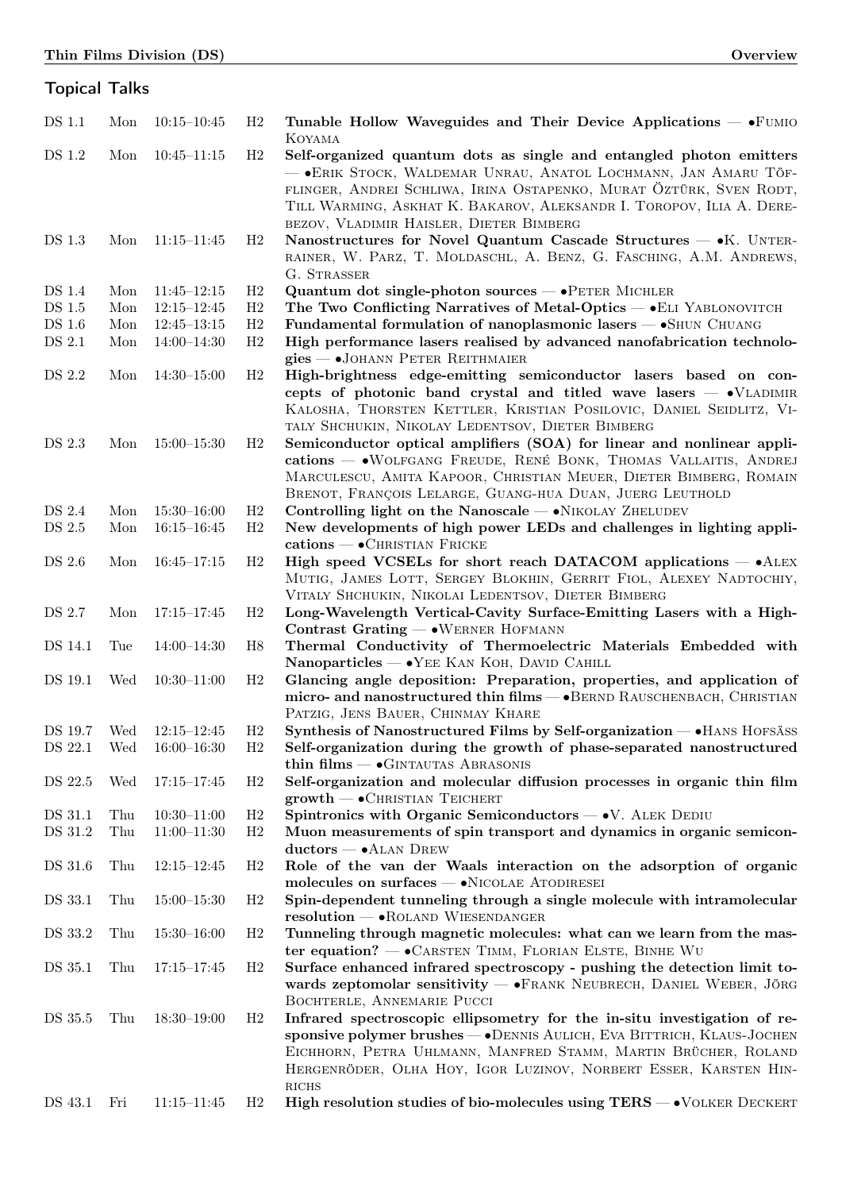| <b>Topical Talks</b> |            |                                    |                                  |                                                                                                                                                                                                                                                                                                                                 |
|----------------------|------------|------------------------------------|----------------------------------|---------------------------------------------------------------------------------------------------------------------------------------------------------------------------------------------------------------------------------------------------------------------------------------------------------------------------------|
| <b>DS</b> 1.1        | Mon        | $10:15 - 10:45$                    | $_{\rm H2}$                      | Tunable Hollow Waveguides and Their Device Applications – • FUMIO<br>KOYAMA                                                                                                                                                                                                                                                     |
| <b>DS</b> 1.2        | Mon        | $10:45 - 11:15$                    | H2                               | Self-organized quantum dots as single and entangled photon emitters<br>— • ERIK STOCK, WALDEMAR UNRAU, ANATOL LOCHMANN, JAN AMARU TÖF-<br>FLINGER, ANDREI SCHLIWA, IRINA OSTAPENKO, MURAT ÖZTÜRK, SVEN RODT,<br>TILL WARMING, ASKHAT K. BAKAROV, ALEKSANDR I. TOROPOV, ILIA A. DERE-<br>BEZOV, VLADIMIR HAISLER, DIETER BIMBERG |
| <b>DS</b> 1.3        | Mon        | $11:15 - 11:45$                    | H2                               | Nanostructures for Novel Quantum Cascade Structures $ \bullet$ K. UNTER-<br>RAINER, W. PARZ, T. MOLDASCHL, A. BENZ, G. FASCHING, A.M. ANDREWS,<br>G. STRASSER                                                                                                                                                                   |
| <b>DS</b> 1.4        | Mon        | $11:45 - 12:15$                    | H2                               | Quantum dot single-photon sources $ \bullet$ PETER MICHLER                                                                                                                                                                                                                                                                      |
| <b>DS</b> 1.5        | Mon        | $12:15 - 12:45$                    | H2                               | The Two Conflicting Narratives of Metal-Optics — ELI YABLONOVITCH                                                                                                                                                                                                                                                               |
| <b>DS</b> 1.6        | Mon        | $12:45 - 13:15$                    | H <sub>2</sub>                   | <b>Fundamental formulation of nanoplasmonic lasers — •SHUN CHUANG</b>                                                                                                                                                                                                                                                           |
| DS 2.1               | Mon        | $14:00 - 14:30$                    | H2                               | High performance lasers realised by advanced nanofabrication technolo-<br>$gies$ $\rightarrow$ JOHANN PETER REITHMAIER                                                                                                                                                                                                          |
| DS 2.2               | Mon        | $14:30 - 15:00$                    | H2                               | High-brightness edge-emitting semiconductor lasers based on con-<br>cepts of photonic band crystal and titled wave lasers $ \bullet$ VLADIMIR<br>KALOSHA, THORSTEN KETTLER, KRISTIAN POSILOVIC, DANIEL SEIDLITZ, VI-<br>TALY SHCHUKIN, NIKOLAY LEDENTSOV, DIETER BIMBERG                                                        |
| DS 2.3               | Mon        | $15:00 - 15:30$                    | H2                               | Semiconductor optical amplifiers (SOA) for linear and nonlinear appli-<br>cations - WOLFGANG FREUDE, RENÉ BONK, THOMAS VALLAITIS, ANDREJ<br>MARCULESCU, AMITA KAPOOR, CHRISTIAN MEUER, DIETER BIMBERG, ROMAIN<br>BRENOT, FRANÇOIS LELARGE, GUANG-HUA DUAN, JUERG LEUTHOLD                                                       |
| DS 2.4               | Mon        | $15:30 - 16:00$                    | H <sub>2</sub>                   | Controlling light on the Nanoscale - NIKOLAY ZHELUDEV                                                                                                                                                                                                                                                                           |
| DS 2.5               | Mon        | $16:15 - 16:45$                    | H2                               | New developments of high power LEDs and challenges in lighting appli-<br>$cations$ - CHRISTIAN FRICKE                                                                                                                                                                                                                           |
| <b>DS</b> 2.6        | Mon        | $16:45 - 17:15$                    | H2                               | High speed VCSELs for short reach DATACOM applications $- \bullet$ ALEX<br>MUTIG, JAMES LOTT, SERGEY BLOKHIN, GERRIT FIOL, ALEXEY NADTOCHIY,<br>VITALY SHCHUKIN, NIKOLAI LEDENTSOV, DIETER BIMBERG                                                                                                                              |
| <b>DS 2.7</b>        | Mon        | $17:15 - 17:45$                    | H <sub>2</sub>                   | Long-Wavelength Vertical-Cavity Surface-Emitting Lasers with a High-<br>Contrast Grating - NERNER HOFMANN                                                                                                                                                                                                                       |
| DS 14.1              | Tue        | $14:00 - 14:30$                    | H8                               | Thermal Conductivity of Thermoelectric Materials Embedded with<br>Nanoparticles - • YEE KAN KOH, DAVID CAHILL                                                                                                                                                                                                                   |
| <b>DS</b> 19.1       | Wed        | $10:30 - 11:00$                    | H <sub>2</sub>                   | Glancing angle deposition: Preparation, properties, and application of<br>micro- and nanostructured thin films - • BERND RAUSCHENBACH, CHRISTIAN<br>PATZIG, JENS BAUER, CHINMAY KHARE                                                                                                                                           |
| DS 19.7<br>DS 22.1   | Wed<br>Wed | $12:15 - 12:45$<br>$16:00 - 16:30$ | H2<br>H <sub>2</sub>             | Synthesis of Nanostructured Films by Self-organization — • HANS HOFSÄSS<br>Self-organization during the growth of phase-separated nanostructured                                                                                                                                                                                |
| DS 22.5              | Wed        | $17:15 - 17:45$                    | H <sub>2</sub>                   | thin $\operatorname{films} \operatorname{\mathbf{-}}\bullet \operatorname{GINTAUTAS}$ ABRASONIS<br>Self-organization and molecular diffusion processes in organic thin film                                                                                                                                                     |
|                      |            |                                    |                                  | $growth \longrightarrow$ CHRISTIAN TEICHERT                                                                                                                                                                                                                                                                                     |
| DS 31.1<br>DS 31.2   | Thu<br>Thu | $10:30 - 11:00$<br>$11:00-11:30$   | H <sub>2</sub><br>H <sub>2</sub> | Spintronics with Organic Semiconductors $ \bullet$ V. ALEK DEDIU<br>Muon measurements of spin transport and dynamics in organic semicon-                                                                                                                                                                                        |
|                      |            |                                    |                                  | ductors - $\bullet$ ALAN DREW                                                                                                                                                                                                                                                                                                   |
| DS 31.6              | Thu        | $12:15 - 12:45$                    | H <sub>2</sub>                   | Role of the van der Waals interaction on the adsorption of organic<br>molecules on surfaces $- \bullet$ NICOLAE ATODIRESEI                                                                                                                                                                                                      |
| DS 33.1              | Thu        | $15:00 - 15:30$                    | H <sub>2</sub>                   | Spin-dependent tunneling through a single molecule with intramolecular<br>resolution - • ROLAND WIESENDANGER                                                                                                                                                                                                                    |
| DS 33.2              | Thu        | $15:30 - 16:00$                    | H <sub>2</sub>                   | Tunneling through magnetic molecules: what can we learn from the mas-<br>ter equation? - . CARSTEN TIMM, FLORIAN ELSTE, BINHE WU                                                                                                                                                                                                |
| DS 35.1              | Thu        | $17:15 - 17:45$                    | H <sub>2</sub>                   | Surface enhanced infrared spectroscopy - pushing the detection limit to-<br>wards zeptomolar sensitivity - • FRANK NEUBRECH, DANIEL WEBER, JÖRG<br>BOCHTERLE, ANNEMARIE PUCCI                                                                                                                                                   |
| DS 35.5              | Thu        | $18:30\!\!-\!\!19:00$              | H2                               | Infrared spectroscopic ellipsometry for the in-situ investigation of re-<br>sponsive polymer brushes - • DENNIS AULICH, EVA BITTRICH, KLAUS-JOCHEN<br>EICHHORN, PETRA UHLMANN, MANFRED STAMM, MARTIN BRÜCHER, ROLAND<br>HERGENRÖDER, OLHA HOY, IGOR LUZINOV, NORBERT ESSER, KARSTEN HIN-<br>$\mathop{\rm RICHS}$                |
| DS 43.1              | Fri        | $11:15 - 11:45$                    | $_{\rm H2}$                      | High resolution studies of bio-molecules using TERS - VOLKER DECKERT                                                                                                                                                                                                                                                            |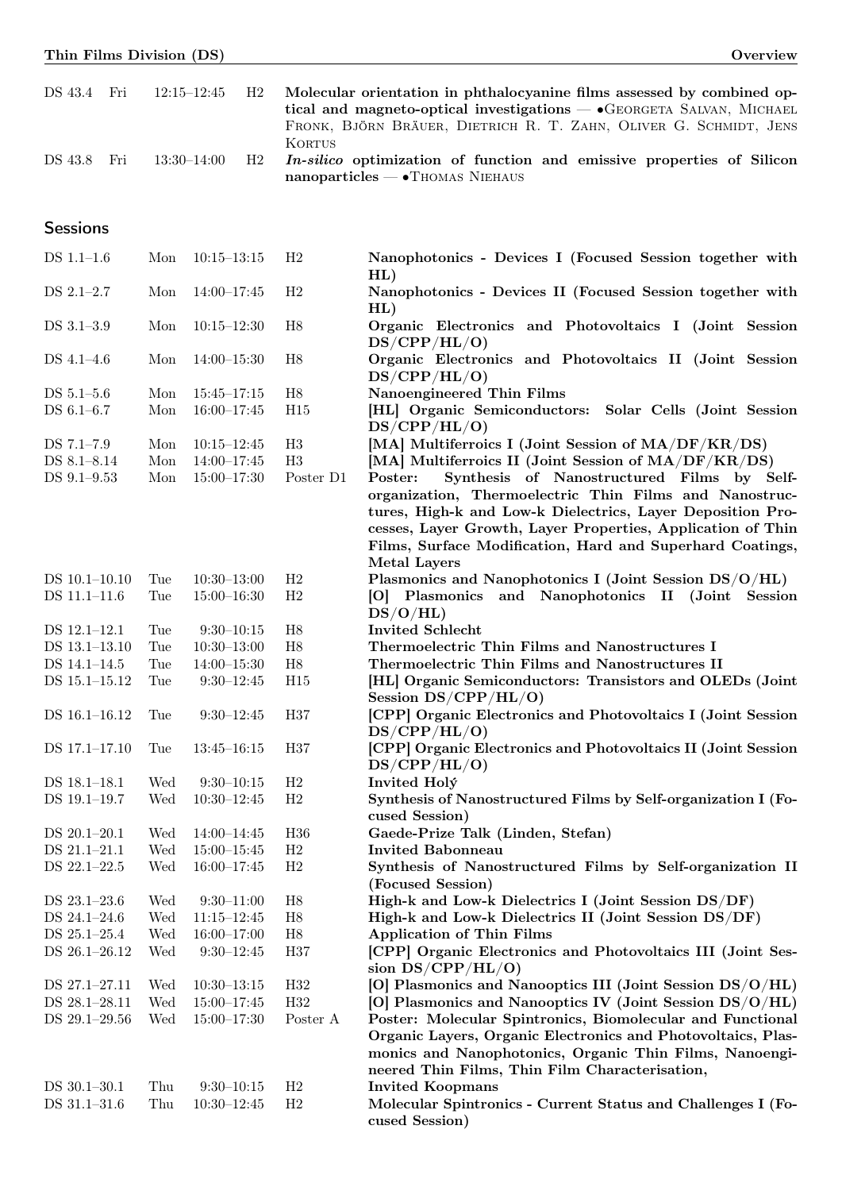| DS 43.4<br>Fri  |     | H2<br>$12:15 - 12:45$ |                | Molecular orientation in phthalocyanine films assessed by combined op-<br>tical and magneto-optical investigations - • GEORGETA SALVAN, MICHAEL<br>FRONK, BJÖRN BRÄUER, DIETRICH R. T. ZAHN, OLIVER G. SCHMIDT, JENS                                                                                      |
|-----------------|-----|-----------------------|----------------|-----------------------------------------------------------------------------------------------------------------------------------------------------------------------------------------------------------------------------------------------------------------------------------------------------------|
| DS 43.8<br>Fri  |     | $13:30 - 14:00$<br>H2 | <b>KORTUS</b>  | In-silico optimization of function and emissive properties of Silicon<br>$nanoparticles \frown$ THOMAS NIEHAUS                                                                                                                                                                                            |
| <b>Sessions</b> |     |                       |                |                                                                                                                                                                                                                                                                                                           |
| $DS 1.1 - 1.6$  | Mon | $10:15 - 13:15$       | H2             | Nanophotonics - Devices I (Focused Session together with<br>HL)                                                                                                                                                                                                                                           |
| DS 2.1-2.7      | Mon | $14:00 - 17:45$       | H2             | Nanophotonics - Devices II (Focused Session together with<br>HL)                                                                                                                                                                                                                                          |
| DS 3.1-3.9      | Mon | $10:15 - 12:30$       | $_{\rm H8}$    | Organic Electronics and Photovoltaics I (Joint Session<br>DS/CPP/HL/O                                                                                                                                                                                                                                     |
| DS 4.1-4.6      | Mon | $14:00 - 15:30$       | $_{\rm H8}$    | Organic Electronics and Photovoltaics II (Joint Session<br>DS/CPP/HL/O                                                                                                                                                                                                                                    |
| $DS 5.1 - 5.6$  | Mon | $15:45 - 17:15$       | H8             | Nanoengineered Thin Films                                                                                                                                                                                                                                                                                 |
| DS 6.1-6.7      | Mon | $16:00 - 17:45$       | H15            | [HL] Organic Semiconductors: Solar Cells (Joint Session<br>DS/CPP/HL/O                                                                                                                                                                                                                                    |
| DS 7.1-7.9      | Mon | $10:15 - 12:45$       | H3             | [MA] Multiferroics I (Joint Session of MA/DF/KR/DS)                                                                                                                                                                                                                                                       |
| DS 8.1-8.14     | Mon | $14:00 - 17:45$       | H3             | [MA] Multiferroics II (Joint Session of MA/DF/KR/DS)                                                                                                                                                                                                                                                      |
| DS 9.1-9.53     | Mon | $15:00 - 17:30$       | Poster D1      | Synthesis of Nanostructured Films by Self-<br>Poster:<br>organization, Thermoelectric Thin Films and Nanostruc-<br>tures, High-k and Low-k Dielectrics, Layer Deposition Pro-<br>cesses, Layer Growth, Layer Properties, Application of Thin<br>Films, Surface Modification, Hard and Superhard Coatings, |
|                 |     |                       |                | <b>Metal Layers</b>                                                                                                                                                                                                                                                                                       |
| DS 10.1-10.10   | Tue | $10:30 - 13:00$       | H <sub>2</sub> | Plasmonics and Nanophotonics I (Joint Session DS/O/HL)                                                                                                                                                                                                                                                    |
| DS 11.1-11.6    | Tue | $15:00 - 16:30$       | H <sub>2</sub> | [O] Plasmonics and Nanophotonics II (Joint Session<br>DS/O/HL)                                                                                                                                                                                                                                            |
| DS 12.1-12.1    | Tue | $9:30 - 10:15$        | H8             | <b>Invited Schlecht</b>                                                                                                                                                                                                                                                                                   |
| DS 13.1-13.10   | Tue | $10:30 - 13:00$       | H8             | Thermoelectric Thin Films and Nanostructures I                                                                                                                                                                                                                                                            |
| DS 14.1-14.5    | Tue | $14:00 - 15:30$       | H8             | Thermoelectric Thin Films and Nanostructures II                                                                                                                                                                                                                                                           |
| DS 15.1-15.12   | Tue | $9:30 - 12:45$        | H15            | [HL] Organic Semiconductors: Transistors and OLEDs (Joint<br>Session $DS/CPP/HL/O$                                                                                                                                                                                                                        |
| DS 16.1-16.12   | Tue | $9:30 - 12:45$        | H37            | [CPP] Organic Electronics and Photovoltaics I (Joint Session<br>DS/CPP/HL/O                                                                                                                                                                                                                               |
| DS 17.1-17.10   | Tue | $13:45 - 16:15$       | H37            | [CPP] Organic Electronics and Photovoltaics II (Joint Session<br>DS/CPP/HL/O                                                                                                                                                                                                                              |
| DS 18.1-18.1    | Wed | $9:30-10:15$          | $\rm H2$       | Invited Holy                                                                                                                                                                                                                                                                                              |
| DS 19.1-19.7    | Wed | $10:30 - 12:45$       | H <sub>2</sub> | Synthesis of Nanostructured Films by Self-organization I (Fo-<br>cused Session)                                                                                                                                                                                                                           |
| DS 20.1-20.1    | Wed | $14:00-14:45$         | H36            | Gaede-Prize Talk (Linden, Stefan)                                                                                                                                                                                                                                                                         |
| DS 21.1-21.1    | Wed | $15:00 - 15:45$       | H2             | <b>Invited Babonneau</b>                                                                                                                                                                                                                                                                                  |
| DS 22.1-22.5    | Wed | $16:00 - 17:45$       | $\rm H2$       | Synthesis of Nanostructured Films by Self-organization II<br>(Focused Session)                                                                                                                                                                                                                            |
| DS 23.1-23.6    | Wed | $9:30-11:00$          | $\rm H8$       | High-k and Low-k Dielectrics I (Joint Session DS/DF)                                                                                                                                                                                                                                                      |
| DS 24.1-24.6    | Wed | $11:15 - 12:45$       | H8             | High-k and Low-k Dielectrics II (Joint Session DS/DF)                                                                                                                                                                                                                                                     |
| DS 25.1-25.4    | Wed | $16:00-17:00$         | H8             | <b>Application of Thin Films</b>                                                                                                                                                                                                                                                                          |
| DS 26.1-26.12   | Wed | $9:30 - 12:45$        | H37            | [CPP] Organic Electronics and Photovoltaics III (Joint Ses-<br>sion $DS/CPP/HL/O$                                                                                                                                                                                                                         |
| DS 27.1-27.11   | Wed | $10:30-13:15$         | H32            | [O] Plasmonics and Nanooptics III (Joint Session DS/O/HL)                                                                                                                                                                                                                                                 |
| DS 28.1-28.11   | Wed | $15:00 - 17:45$       | H32            | [O] Plasmonics and Nanooptics IV (Joint Session DS/O/HL)                                                                                                                                                                                                                                                  |
| DS 29.1-29.56   | Wed | $15:00-17:30$         | Poster A       | Poster: Molecular Spintronics, Biomolecular and Functional<br>Organic Layers, Organic Electronics and Photovoltaics, Plas-<br>monics and Nanophotonics, Organic Thin Films, Nanoengi-<br>neered Thin Films, Thin Film Characterisation,                                                                   |
| DS 30.1-30.1    | Thu | $9:30 - 10:15$        | $\rm H2$       | <b>Invited Koopmans</b>                                                                                                                                                                                                                                                                                   |
| DS 31.1-31.6    | Thu | $10:30 - 12:45$       | H2             | Molecular Spintronics - Current Status and Challenges I (Fo-<br>cused Session)                                                                                                                                                                                                                            |

Thin Films Division (DS) Overview Overview Overview Overview Overview Overview Overview Overview Overview Overview Overview Overview Overview Overview Overview Overview Overview Overview Overview Overview Overview Overview